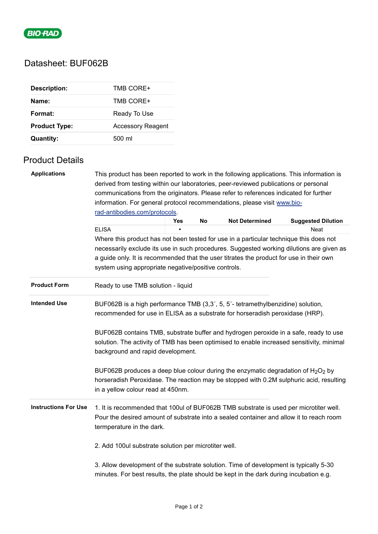

# Datasheet: BUF062B

| <b>Description:</b>  | TMB CORE+                |
|----------------------|--------------------------|
| Name:                | TMB CORE+                |
| Format:              | Ready To Use             |
| <b>Product Type:</b> | <b>Accessory Reagent</b> |
| Quantity:            | 500 ml                   |

### Product Details

| <b>Applications</b>                                                                                                                                                                     | This product has been reported to work in the following applications. This information is<br>derived from testing within our laboratories, peer-reviewed publications or personal                                      |            |                                                                                       |                       |                           |  |  |  |
|-----------------------------------------------------------------------------------------------------------------------------------------------------------------------------------------|------------------------------------------------------------------------------------------------------------------------------------------------------------------------------------------------------------------------|------------|---------------------------------------------------------------------------------------|-----------------------|---------------------------|--|--|--|
|                                                                                                                                                                                         |                                                                                                                                                                                                                        |            | communications from the originators. Please refer to references indicated for further |                       |                           |  |  |  |
|                                                                                                                                                                                         | information. For general protocol recommendations, please visit www.bio-                                                                                                                                               |            |                                                                                       |                       |                           |  |  |  |
|                                                                                                                                                                                         | rad-antibodies.com/protocols.                                                                                                                                                                                          |            |                                                                                       |                       |                           |  |  |  |
|                                                                                                                                                                                         |                                                                                                                                                                                                                        | <b>Yes</b> | No                                                                                    | <b>Not Determined</b> | <b>Suggested Dilution</b> |  |  |  |
|                                                                                                                                                                                         | <b>ELISA</b>                                                                                                                                                                                                           |            |                                                                                       |                       | Neat                      |  |  |  |
|                                                                                                                                                                                         | Where this product has not been tested for use in a particular technique this does not                                                                                                                                 |            |                                                                                       |                       |                           |  |  |  |
|                                                                                                                                                                                         | necessarily exclude its use in such procedures. Suggested working dilutions are given as                                                                                                                               |            |                                                                                       |                       |                           |  |  |  |
|                                                                                                                                                                                         | a guide only. It is recommended that the user titrates the product for use in their own<br>system using appropriate negative/positive controls.                                                                        |            |                                                                                       |                       |                           |  |  |  |
|                                                                                                                                                                                         |                                                                                                                                                                                                                        |            |                                                                                       |                       |                           |  |  |  |
|                                                                                                                                                                                         |                                                                                                                                                                                                                        |            |                                                                                       |                       |                           |  |  |  |
| <b>Product Form</b>                                                                                                                                                                     | Ready to use TMB solution - liquid                                                                                                                                                                                     |            |                                                                                       |                       |                           |  |  |  |
| <b>Intended Use</b><br>BUF062B is a high performance TMB (3,3', 5, 5'- tetramethylbenzidine) solution,<br>recommended for use in ELISA as a substrate for horseradish peroxidase (HRP). |                                                                                                                                                                                                                        |            |                                                                                       |                       |                           |  |  |  |
|                                                                                                                                                                                         | BUF062B contains TMB, substrate buffer and hydrogen peroxide in a safe, ready to use<br>solution. The activity of TMB has been optimised to enable increased sensitivity, minimal<br>background and rapid development. |            |                                                                                       |                       |                           |  |  |  |
|                                                                                                                                                                                         | BUF062B produces a deep blue colour during the enzymatic degradation of $H_2O_2$ by<br>horseradish Peroxidase. The reaction may be stopped with 0.2M sulphuric acid, resulting<br>in a yellow colour read at 450nm.    |            |                                                                                       |                       |                           |  |  |  |
| <b>Instructions For Use</b>                                                                                                                                                             | 1. It is recommended that 100ul of BUF062B TMB substrate is used per microtiter well.<br>Pour the desired amount of substrate into a sealed container and allow it to reach room<br>termperature in the dark.          |            |                                                                                       |                       |                           |  |  |  |
|                                                                                                                                                                                         | 2. Add 100ul substrate solution per microtiter well.                                                                                                                                                                   |            |                                                                                       |                       |                           |  |  |  |
|                                                                                                                                                                                         | 3. Allow development of the substrate solution. Time of development is typically 5-30<br>minutes. For best results, the plate should be kept in the dark during incubation e.g.                                        |            |                                                                                       |                       |                           |  |  |  |